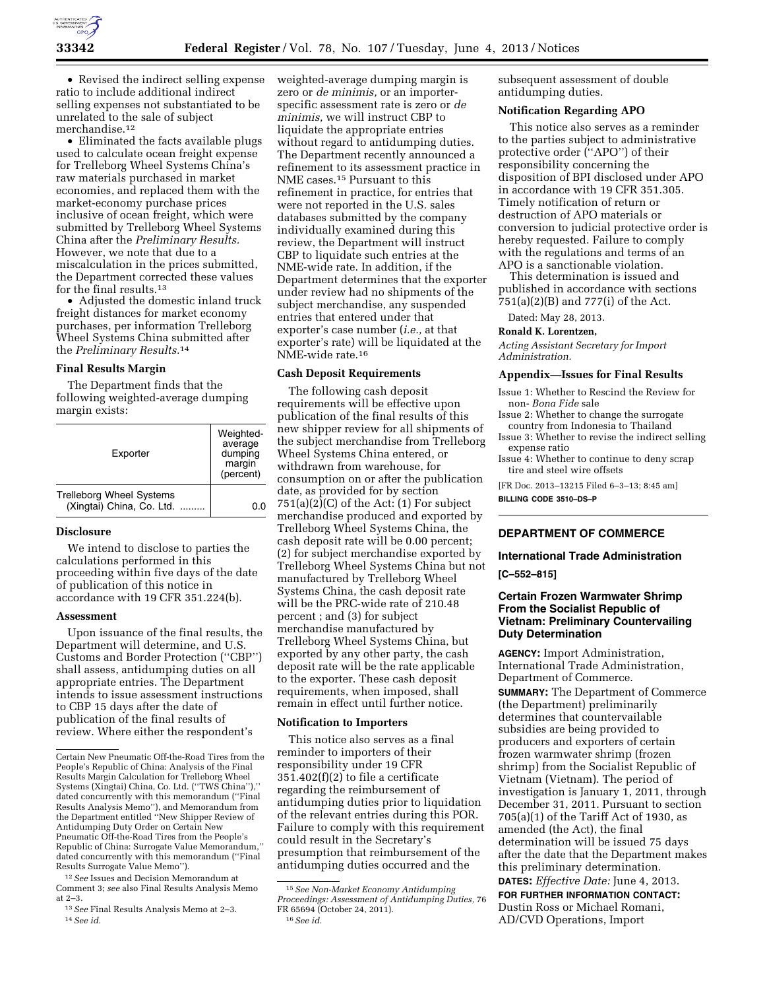

• Revised the indirect selling expense ratio to include additional indirect selling expenses not substantiated to be unrelated to the sale of subject merchandise.12

• Eliminated the facts available plugs used to calculate ocean freight expense for Trelleborg Wheel Systems China's raw materials purchased in market economies, and replaced them with the market-economy purchase prices inclusive of ocean freight, which were submitted by Trelleborg Wheel Systems China after the *Preliminary Results.*  However, we note that due to a miscalculation in the prices submitted, the Department corrected these values for the final results.13

• Adjusted the domestic inland truck freight distances for market economy purchases, per information Trelleborg Wheel Systems China submitted after the *Preliminary Results.*14

# **Final Results Margin**

The Department finds that the following weighted-average dumping margin exists:

| Exporter                                                     | Weighted-<br>average<br>dumping<br>margin<br>(percent) |
|--------------------------------------------------------------|--------------------------------------------------------|
| <b>Trelleborg Wheel Systems</b><br>(Xingtai) China, Co. Ltd. |                                                        |

### **Disclosure**

We intend to disclose to parties the calculations performed in this proceeding within five days of the date of publication of this notice in accordance with 19 CFR 351.224(b).

## **Assessment**

Upon issuance of the final results, the Department will determine, and U.S. Customs and Border Protection (''CBP'') shall assess, antidumping duties on all appropriate entries. The Department intends to issue assessment instructions to CBP 15 days after the date of publication of the final results of review. Where either the respondent's

weighted-average dumping margin is zero or *de minimis,* or an importerspecific assessment rate is zero or *de minimis,* we will instruct CBP to liquidate the appropriate entries without regard to antidumping duties. The Department recently announced a refinement to its assessment practice in NME cases.15 Pursuant to this refinement in practice, for entries that were not reported in the U.S. sales databases submitted by the company individually examined during this review, the Department will instruct CBP to liquidate such entries at the NME-wide rate. In addition, if the Department determines that the exporter under review had no shipments of the subject merchandise, any suspended entries that entered under that exporter's case number (*i.e.,* at that exporter's rate) will be liquidated at the NME-wide rate.16

#### **Cash Deposit Requirements**

The following cash deposit requirements will be effective upon publication of the final results of this new shipper review for all shipments of the subject merchandise from Trelleborg Wheel Systems China entered, or withdrawn from warehouse, for consumption on or after the publication date, as provided for by section  $751(a)(2)(C)$  of the Act:  $(1)$  For subject merchandise produced and exported by Trelleborg Wheel Systems China, the cash deposit rate will be 0.00 percent; (2) for subject merchandise exported by Trelleborg Wheel Systems China but not manufactured by Trelleborg Wheel Systems China, the cash deposit rate will be the PRC-wide rate of 210.48 percent ; and (3) for subject merchandise manufactured by Trelleborg Wheel Systems China, but exported by any other party, the cash deposit rate will be the rate applicable to the exporter. These cash deposit requirements, when imposed, shall remain in effect until further notice.

#### **Notification to Importers**

This notice also serves as a final reminder to importers of their responsibility under 19 CFR 351.402(f)(2) to file a certificate regarding the reimbursement of antidumping duties prior to liquidation of the relevant entries during this POR. Failure to comply with this requirement could result in the Secretary's presumption that reimbursement of the antidumping duties occurred and the

16*See id.* 

subsequent assessment of double antidumping duties.

## **Notification Regarding APO**

This notice also serves as a reminder to the parties subject to administrative protective order (''APO'') of their responsibility concerning the disposition of BPI disclosed under APO in accordance with 19 CFR 351.305. Timely notification of return or destruction of APO materials or conversion to judicial protective order is hereby requested. Failure to comply with the regulations and terms of an APO is a sanctionable violation.

This determination is issued and published in accordance with sections 751(a)(2)(B) and 777(i) of the Act.

Dated: May 28, 2013.

#### **Ronald K. Lorentzen,**

*Acting Assistant Secretary for Import Administration.* 

#### **Appendix—Issues for Final Results**

- Issue 1: Whether to Rescind the Review for non- *Bona Fide* sale
- Issue 2: Whether to change the surrogate country from Indonesia to Thailand
- Issue 3: Whether to revise the indirect selling expense ratio
- Issue 4: Whether to continue to deny scrap tire and steel wire offsets

[FR Doc. 2013–13215 Filed 6–3–13; 8:45 am] **BILLING CODE 3510–DS–P** 

### **DEPARTMENT OF COMMERCE**

## **International Trade Administration**

**[C–552–815]** 

# **Certain Frozen Warmwater Shrimp From the Socialist Republic of Vietnam: Preliminary Countervailing Duty Determination**

**AGENCY:** Import Administration, International Trade Administration, Department of Commerce. **SUMMARY:** The Department of Commerce (the Department) preliminarily determines that countervailable subsidies are being provided to producers and exporters of certain frozen warmwater shrimp (frozen shrimp) from the Socialist Republic of Vietnam (Vietnam). The period of investigation is January 1, 2011, through December 31, 2011. Pursuant to section 705(a)(1) of the Tariff Act of 1930, as amended (the Act), the final determination will be issued 75 days after the date that the Department makes this preliminary determination. **DATES:** *Effective Date:* June 4, 2013.

**FOR FURTHER INFORMATION CONTACT:**  Dustin Ross or Michael Romani, AD/CVD Operations, Import

Certain New Pneumatic Off-the-Road Tires from the People's Republic of China: Analysis of the Final Results Margin Calculation for Trelleborg Wheel Systems (Xingtai) China, Co. Ltd. (''TWS China''),'' dated concurrently with this memorandum (''Final Results Analysis Memo''), and Memorandum from the Department entitled ''New Shipper Review of Antidumping Duty Order on Certain New Pneumatic Off-the-Road Tires from the People's Republic of China: Surrogate Value Memorandum,'' dated concurrently with this memorandum (''Final Results Surrogate Value Memo'').

<sup>12</sup>*See* Issues and Decision Memorandum at Comment 3; *see* also Final Results Analysis Memo at 2–3.

<sup>13</sup>*See* Final Results Analysis Memo at 2–3. 14*See id.* 

<sup>15</sup>*See Non-Market Economy Antidumping Proceedings: Assessment of Antidumping Duties,* 76 FR 65694 (October 24, 2011).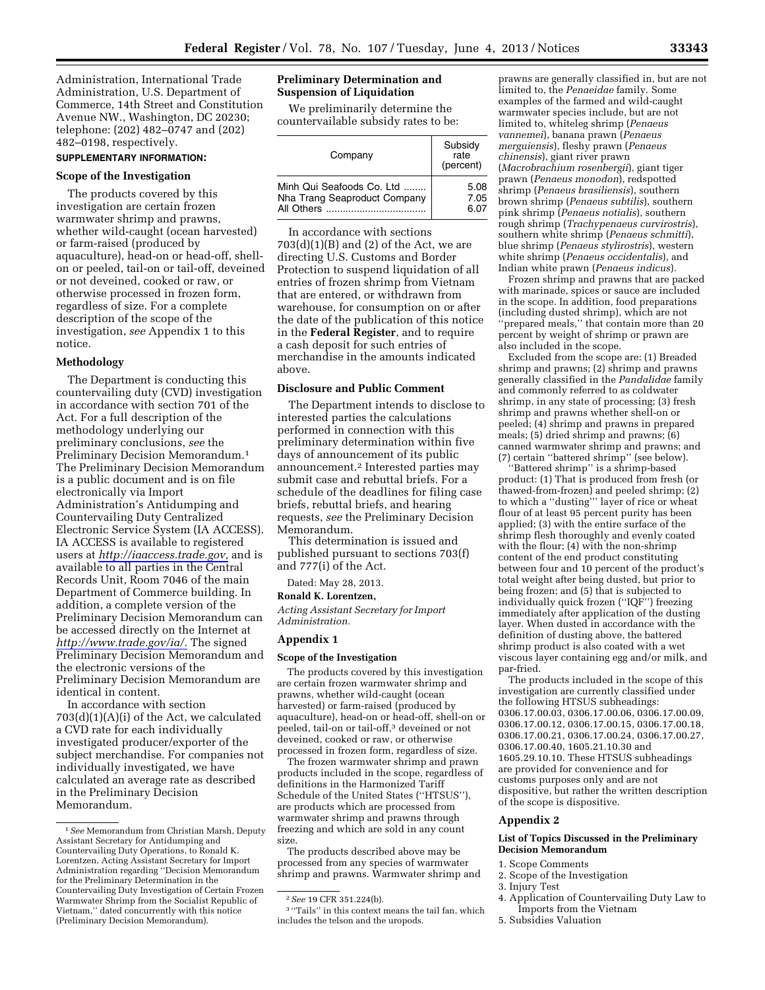Administration, International Trade Administration, U.S. Department of Commerce, 14th Street and Constitution Avenue NW., Washington, DC 20230; telephone: (202) 482–0747 and (202) 482–0198, respectively.

## **SUPPLEMENTARY INFORMATION:**

### **Scope of the Investigation**

The products covered by this investigation are certain frozen warmwater shrimp and prawns, whether wild-caught (ocean harvested) or farm-raised (produced by aquaculture), head-on or head-off, shellon or peeled, tail-on or tail-off, deveined or not deveined, cooked or raw, or otherwise processed in frozen form, regardless of size. For a complete description of the scope of the investigation, *see* Appendix 1 to this notice.

#### **Methodology**

The Department is conducting this countervailing duty (CVD) investigation in accordance with section 701 of the Act. For a full description of the methodology underlying our preliminary conclusions, *see* the Preliminary Decision Memorandum.1 The Preliminary Decision Memorandum is a public document and is on file electronically via Import Administration's Antidumping and Countervailing Duty Centralized Electronic Service System (IA ACCESS). IA ACCESS is available to registered users at *[http://iaaccess.trade.gov,](http://iaaccess.trade.gov)* and is available to all parties in the Central Records Unit, Room 7046 of the main Department of Commerce building. In addition, a complete version of the Preliminary Decision Memorandum can be accessed directly on the Internet at *[http://www.trade.gov/ia/.](http://www.trade.gov/ia/)* The signed Preliminary Decision Memorandum and the electronic versions of the Preliminary Decision Memorandum are identical in content.

In accordance with section 703(d)(1)(A)(i) of the Act, we calculated a CVD rate for each individually investigated producer/exporter of the subject merchandise. For companies not individually investigated, we have calculated an average rate as described in the Preliminary Decision Memorandum.

## **Preliminary Determination and Suspension of Liquidation**

We preliminarily determine the countervailable subsidy rates to be:

| Company                      | Subsidy<br>rate<br>(percent) |
|------------------------------|------------------------------|
| Minh Qui Seafoods Co. Ltd    | 5.08                         |
| Nha Trang Seaproduct Company | 7.05                         |
| All Others                   | 6.07                         |

In accordance with sections  $703(d)(1)(B)$  and  $(2)$  of the Act, we are directing U.S. Customs and Border Protection to suspend liquidation of all entries of frozen shrimp from Vietnam that are entered, or withdrawn from warehouse, for consumption on or after the date of the publication of this notice in the **Federal Register**, and to require a cash deposit for such entries of merchandise in the amounts indicated above.

#### **Disclosure and Public Comment**

The Department intends to disclose to interested parties the calculations performed in connection with this preliminary determination within five days of announcement of its public announcement.2 Interested parties may submit case and rebuttal briefs. For a schedule of the deadlines for filing case briefs, rebuttal briefs, and hearing requests, *see* the Preliminary Decision Memorandum.

This determination is issued and published pursuant to sections 703(f) and 777(i) of the Act.

Dated: May 28, 2013.

#### **Ronald K. Lorentzen,**

*Acting Assistant Secretary for Import Administration.* 

# **Appendix 1**

#### **Scope of the Investigation**

The products covered by this investigation are certain frozen warmwater shrimp and prawns, whether wild-caught (ocean harvested) or farm-raised (produced by aquaculture), head-on or head-off, shell-on or peeled, tail-on or tail-off,3 deveined or not deveined, cooked or raw, or otherwise processed in frozen form, regardless of size.

The frozen warmwater shrimp and prawn products included in the scope, regardless of definitions in the Harmonized Tariff Schedule of the United States (''HTSUS''), are products which are processed from warmwater shrimp and prawns through freezing and which are sold in any count size.

The products described above may be processed from any species of warmwater shrimp and prawns. Warmwater shrimp and

prawns are generally classified in, but are not limited to, the *Penaeidae* family. Some examples of the farmed and wild-caught warmwater species include, but are not limited to, whiteleg shrimp (*Penaeus vannemei*), banana prawn (*Penaeus merguiensis*), fleshy prawn (*Penaeus chinensis*), giant river prawn (*Macrobrachium rosenbergii*), giant tiger prawn (*Penaeus monodon*), redspotted shrimp (*Penaeus brasiliensis*), southern brown shrimp (*Penaeus subtilis*), southern pink shrimp (*Penaeus notialis*), southern rough shrimp (*Trachypenaeus curvirostris*), southern white shrimp (*Penaeus schmitti*), blue shrimp (*Penaeus stylirostris*), western white shrimp (*Penaeus occidentalis*), and Indian white prawn (*Penaeus indicus*).

Frozen shrimp and prawns that are packed with marinade, spices or sauce are included in the scope. In addition, food preparations (including dusted shrimp), which are not ''prepared meals,'' that contain more than 20 percent by weight of shrimp or prawn are also included in the scope.

Excluded from the scope are: (1) Breaded shrimp and prawns; (2) shrimp and prawns generally classified in the *Pandalidae* family and commonly referred to as coldwater shrimp, in any state of processing; (3) fresh shrimp and prawns whether shell-on or peeled; (4) shrimp and prawns in prepared meals; (5) dried shrimp and prawns; (6) canned warmwater shrimp and prawns; and (7) certain ''battered shrimp'' (see below).

'Battered shrimp'' is a shrimp-based product: (1) That is produced from fresh (or thawed-from-frozen) and peeled shrimp; (2) to which a ''dusting''' layer of rice or wheat flour of at least 95 percent purity has been applied; (3) with the entire surface of the shrimp flesh thoroughly and evenly coated with the flour; (4) with the non-shrimp content of the end product constituting between four and 10 percent of the product's total weight after being dusted, but prior to being frozen; and (5) that is subjected to individually quick frozen (''IQF'') freezing immediately after application of the dusting layer. When dusted in accordance with the definition of dusting above, the battered shrimp product is also coated with a wet viscous layer containing egg and/or milk, and par-fried.

The products included in the scope of this investigation are currently classified under the following HTSUS subheadings: 0306.17.00.03, 0306.17.00.06, 0306.17.00.09, 0306.17.00.12, 0306.17.00.15, 0306.17.00.18, 0306.17.00.21, 0306.17.00.24, 0306.17.00.27, 0306.17.00.40, 1605.21.10.30 and 1605.29.10.10. These HTSUS subheadings are provided for convenience and for customs purposes only and are not dispositive, but rather the written description of the scope is dispositive.

#### **Appendix 2**

#### **List of Topics Discussed in the Preliminary Decision Memorandum**

- 1. Scope Comments
- 2. Scope of the Investigation
- 3. Injury Test
- 4. Application of Countervailing Duty Law to Imports from the Vietnam
- 5. Subsidies Valuation

<sup>1</sup>*See* Memorandum from Christian Marsh, Deputy Assistant Secretary for Antidumping and Countervailing Duty Operations, to Ronald K. Lorentzen, Acting Assistant Secretary for Import Administration regarding ''Decision Memorandum for the Preliminary Determination in the Countervailing Duty Investigation of Certain Frozen Warmwater Shrimp from the Socialist Republic of Vietnam,'' dated concurrently with this notice (Preliminary Decision Memorandum).

<sup>2</sup>*See* 19 CFR 351.224(b).

<sup>&</sup>lt;sup>3</sup> "Tails" in this context means the tail fan, which includes the telson and the uropods.